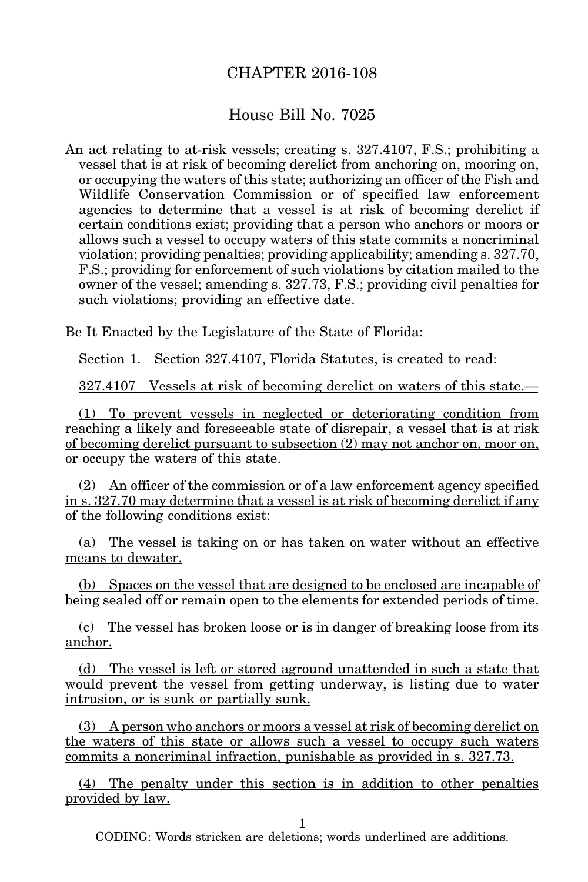## CHAPTER 2016-108

## House Bill No. 7025

An act relating to at-risk vessels; creating s. 327.4107, F.S.; prohibiting a vessel that is at risk of becoming derelict from anchoring on, mooring on, or occupying the waters of this state; authorizing an officer of the Fish and Wildlife Conservation Commission or of specified law enforcement agencies to determine that a vessel is at risk of becoming derelict if certain conditions exist; providing that a person who anchors or moors or allows such a vessel to occupy waters of this state commits a noncriminal violation; providing penalties; providing applicability; amending s. 327.70, F.S.; providing for enforcement of such violations by citation mailed to the owner of the vessel; amending s. 327.73, F.S.; providing civil penalties for such violations; providing an effective date.

Be It Enacted by the Legislature of the State of Florida:

Section 1. Section 327.4107, Florida Statutes, is created to read:

327.4107 Vessels at risk of becoming derelict on waters of this state.—

(1) To prevent vessels in neglected or deteriorating condition from reaching a likely and foreseeable state of disrepair, a vessel that is at risk of becoming derelict pursuant to subsection (2) may not anchor on, moor on, or occupy the waters of this state.

(2) An officer of the commission or of a law enforcement agency specified in s. 327.70 may determine that a vessel is at risk of becoming derelict if any of the following conditions exist:

(a) The vessel is taking on or has taken on water without an effective means to dewater.

(b) Spaces on the vessel that are designed to be enclosed are incapable of being sealed off or remain open to the elements for extended periods of time.

(c) The vessel has broken loose or is in danger of breaking loose from its anchor.

(d) The vessel is left or stored aground unattended in such a state that would prevent the vessel from getting underway, is listing due to water intrusion, or is sunk or partially sunk.

(3) A person who anchors or moors a vessel at risk of becoming derelict on the waters of this state or allows such a vessel to occupy such waters commits a noncriminal infraction, punishable as provided in s. 327.73.

(4) The penalty under this section is in addition to other penalties provided by law.

1

CODING: Words stricken are deletions; words underlined are additions.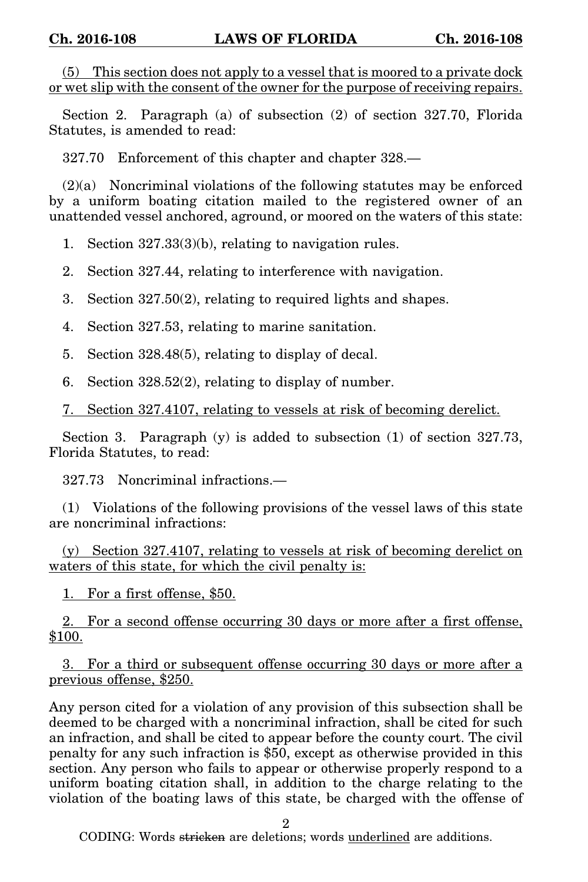(5) This section does not apply to a vessel that is moored to a private dock or wet slip with the consent of the owner for the purpose of receiving repairs.

Section 2. Paragraph (a) of subsection (2) of section 327.70, Florida Statutes, is amended to read:

327.70 Enforcement of this chapter and chapter 328.—

 $(2)(a)$  Noncriminal violations of the following statutes may be enforced by a uniform boating citation mailed to the registered owner of an unattended vessel anchored, aground, or moored on the waters of this state:

1. Section 327.33(3)(b), relating to navigation rules.

2. Section 327.44, relating to interference with navigation.

3. Section 327.50(2), relating to required lights and shapes.

4. Section 327.53, relating to marine sanitation.

5. Section 328.48(5), relating to display of decal.

6. Section 328.52(2), relating to display of number.

7. Section 327.4107, relating to vessels at risk of becoming derelict.

Section 3. Paragraph (y) is added to subsection (1) of section 327.73, Florida Statutes, to read:

327.73 Noncriminal infractions.—

(1) Violations of the following provisions of the vessel laws of this state are noncriminal infractions:

(y) Section 327.4107, relating to vessels at risk of becoming derelict on waters of this state, for which the civil penalty is:

1. For a first offense, \$50.

2. For a second offense occurring 30 days or more after a first offense, \$100.

3. For a third or subsequent offense occurring 30 days or more after a previous offense, \$250.

Any person cited for a violation of any provision of this subsection shall be deemed to be charged with a noncriminal infraction, shall be cited for such an infraction, and shall be cited to appear before the county court. The civil penalty for any such infraction is \$50, except as otherwise provided in this section. Any person who fails to appear or otherwise properly respond to a uniform boating citation shall, in addition to the charge relating to the violation of the boating laws of this state, be charged with the offense of

2

CODING: Words stricken are deletions; words underlined are additions.